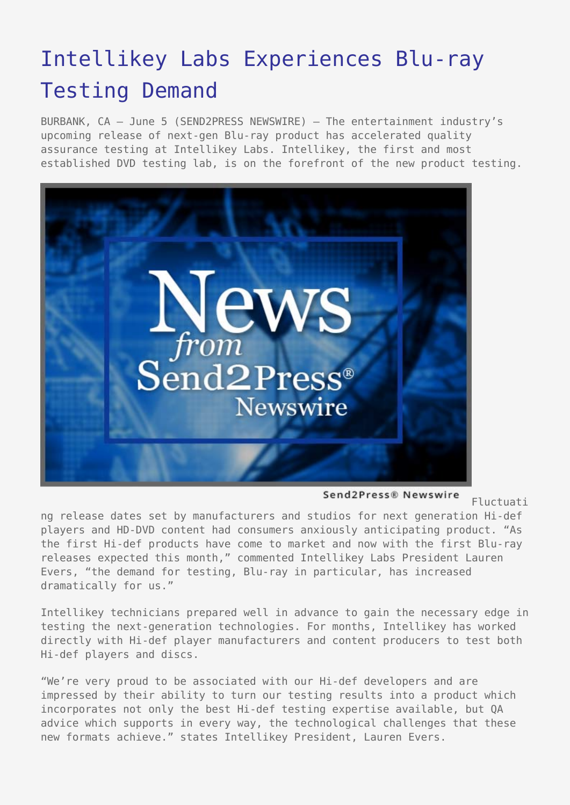## [Intellikey Labs Experiences Blu-ray](https://www.send2press.com/wire/2006-06-0605-008/) [Testing Demand](https://www.send2press.com/wire/2006-06-0605-008/)

BURBANK, CA – June 5 (SEND2PRESS NEWSWIRE) — The entertainment industry's upcoming release of next-gen Blu-ray product has accelerated quality assurance testing at Intellikey Labs. Intellikey, the first and most established DVD testing lab, is on the forefront of the new product testing.



Send2Press® Newswire

Fluctuati

ng release dates set by manufacturers and studios for next generation Hi-def players and HD-DVD content had consumers anxiously anticipating product. "As the first Hi-def products have come to market and now with the first Blu-ray releases expected this month," commented Intellikey Labs President Lauren Evers, "the demand for testing, Blu-ray in particular, has increased dramatically for us."

Intellikey technicians prepared well in advance to gain the necessary edge in testing the next-generation technologies. For months, Intellikey has worked directly with Hi-def player manufacturers and content producers to test both Hi-def players and discs.

"We're very proud to be associated with our Hi-def developers and are impressed by their ability to turn our testing results into a product which incorporates not only the best Hi-def testing expertise available, but QA advice which supports in every way, the technological challenges that these new formats achieve." states Intellikey President, Lauren Evers.